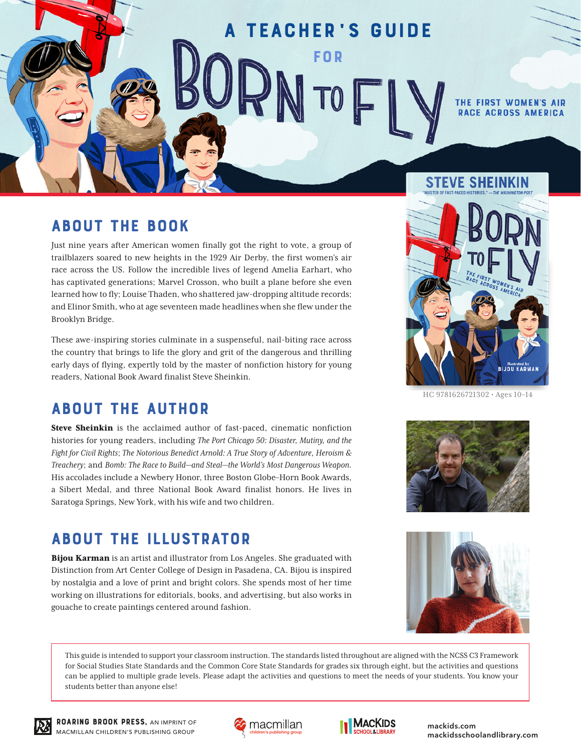# A Teacher' s Guide for TO

THE FIRST WOMEN'S AIR **RACE ACROSS AM** 

### ABOUT THE BOOK

Just nine years after American women finally got the right to vote, a group of trailblazers soared to new heights in the 1929 Air Derby, the first women's air race across the US. Follow the incredible lives of legend Amelia Earhart, who has captivated generations; Marvel Crosson, who built a plane before she even learned how to fly; Louise Thaden, who shattered jaw-dropping altitude records; and Elinor Smith, who at age seventeen made headlines when she flew under the Brooklyn Bridge.

These awe-inspiring stories culminate in a suspenseful, nail-biting race across the country that brings to life the glory and grit of the dangerous and thrilling early days of flying, expertly told by the master of nonfiction history for young readers, National Book Award finalist Steve Sheinkin.

### ABOUT THE AUTHOR

Steve Sheinkin is the acclaimed author of fast-paced, cinematic nonfiction histories for young readers, including *The Port Chicago 50: Disaster, Mutiny, and the Fight for Civil Rights*; *The Notorious Benedict Arnold: A True Story of Adventure, Heroism & Treachery*; and *Bomb: The Race to Build—and Steal—the World's Most Dangerous Weapon.*  His accolades include a Newbery Honor, three Boston Globe–Horn Book Awards, a Sibert Medal, and three National Book Award finalist honors. He lives in Saratoga Springs, New York, with his wife and two children.

### ABOUT THE ILLUSTRATOR

Bijou Karman is an artist and illustrator from Los Angeles. She graduated with Distinction from Art Center College of Design in Pasadena, CA. Bijou is inspired by nostalgia and a love of print and bright colors. She spends most of her time working on illustrations for editorials, books, and advertising, but also works in gouache to create paintings centered around fashion.

This guide is intended to support your classroom instruction. The standards listed throughout are aligned with the NCSS C3 Framework for Social Studies State Standards and the Common Core State Standards for grades six through eight, but the activities and questions can be applied to multiple grade levels. Please adapt the activities and questions to meet the needs of your students. You know your students better than anyone else!

**STEVE SHEINKIN** 



**BIJOU KARMAI** 









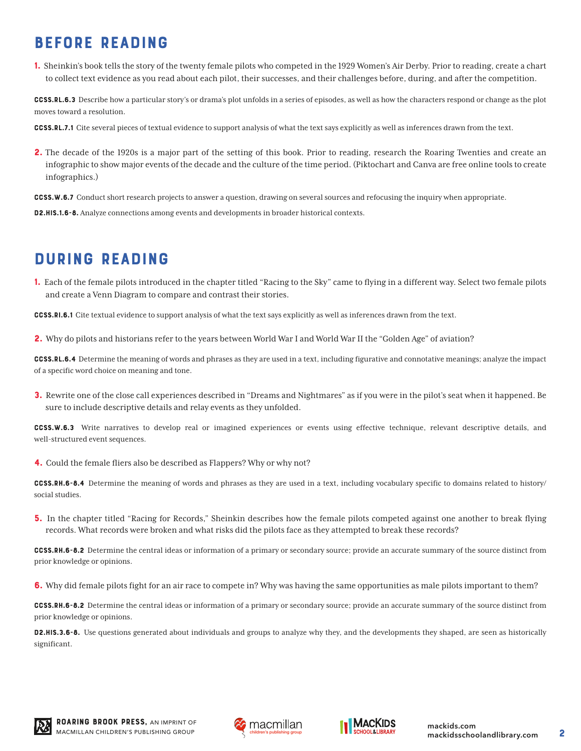# BEFORE READING

1. Sheinkin's book tells the story of the twenty female pilots who competed in the 1929 Women's Air Derby. Prior to reading, create a chart to collect text evidence as you read about each pilot, their successes, and their challenges before, during, and after the competition.

CCSS.RL.6.3 Describe how a particular story's or drama's plot unfolds in a series of episodes, as well as how the characters respond or change as the plot moves toward a resolution.

CCSS.RL.7.1 Cite several pieces of textual evidence to support analysis of what the text says explicitly as well as inferences drawn from the text.

**2.** The decade of the 1920s is a major part of the setting of this book. Prior to reading, research the Roaring Twenties and create an infographic to show major events of the decade and the culture of the time period. (Piktochart and Canva are free online tools to create infographics.)

CCSS.W.6.7 Conduct short research projects to answer a question, drawing on several sources and refocusing the inquiry when appropriate.

D2.His.1.6-8. Analyze connections among events and developments in broader historical contexts.

### DURING READING

1. Each of the female pilots introduced in the chapter titled "Racing to the Sky" came to flying in a different way. Select two female pilots and create a Venn Diagram to compare and contrast their stories.

CCSS.RI.6.1 Cite textual evidence to support analysis of what the text says explicitly as well as inferences drawn from the text.

2. Why do pilots and historians refer to the years between World War I and World War II the "Golden Age" of aviation?

CCSS.RL.6.4 Determine the meaning of words and phrases as they are used in a text, including figurative and connotative meanings; analyze the impact of a specific word choice on meaning and tone.

**3.** Rewrite one of the close call experiences described in "Dreams and Nightmares" as if you were in the pilot's seat when it happened. Be sure to include descriptive details and relay events as they unfolded.

CCSS.W.6.3 Write narratives to develop real or imagined experiences or events using effective technique, relevant descriptive details, and well-structured event sequences.

4. Could the female fliers also be described as Flappers? Why or why not?

CCSS.RH.6-8.4 Determine the meaning of words and phrases as they are used in a text, including vocabulary specific to domains related to history/ social studies.

**5.** In the chapter titled "Racing for Records," Sheinkin describes how the female pilots competed against one another to break flying records. What records were broken and what risks did the pilots face as they attempted to break these records?

CCSS.RH.6-8.2 Determine the central ideas or information of a primary or secondary source; provide an accurate summary of the source distinct from prior knowledge or opinions.

**6.** Why did female pilots fight for an air race to compete in? Why was having the same opportunities as male pilots important to them?

CCSS.RH.6-8.2 Determine the central ideas or information of a primary or secondary source; provide an accurate summary of the source distinct from prior knowledge or opinions.

D2.HIS.3.6-8. Use questions generated about individuals and groups to analyze why they, and the developments they shaped, are seen as historically significant.





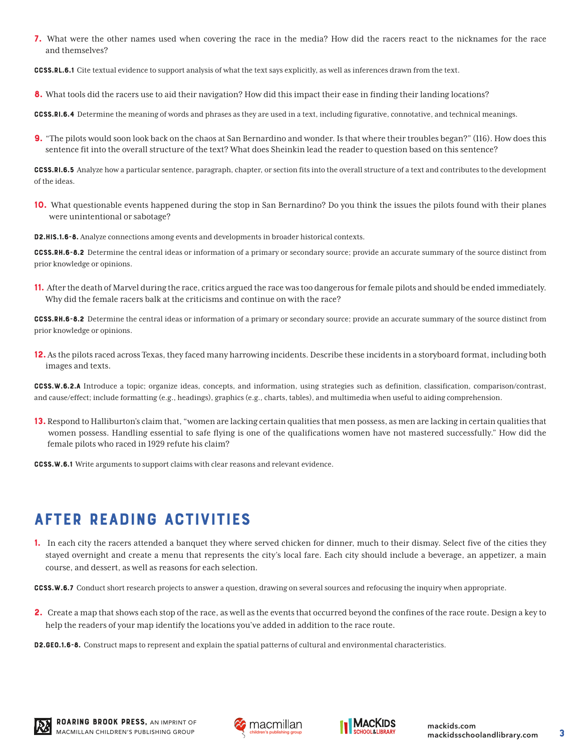7. What were the other names used when covering the race in the media? How did the racers react to the nicknames for the race and themselves?

CCSS.RL.6.1 Cite textual evidence to support analysis of what the text says explicitly, as well as inferences drawn from the text.

8. What tools did the racers use to aid their navigation? How did this impact their ease in finding their landing locations?

CCSS.RI.6.4 Determine the meaning of words and phrases as they are used in a text, including figurative, connotative, and technical meanings.

9. "The pilots would soon look back on the chaos at San Bernardino and wonder. Is that where their troubles began?" (116). How does this sentence fit into the overall structure of the text? What does Sheinkin lead the reader to question based on this sentence?

CCSS.RI.6.5 Analyze how a particular sentence, paragraph, chapter, or section fits into the overall structure of a text and contributes to the development of the ideas.

**10.** What questionable events happened during the stop in San Bernardino? Do you think the issues the pilots found with their planes were unintentional or sabotage?

D2.His.1.6-8. Analyze connections among events and developments in broader historical contexts.

CCSS.RH.6-8.2 Determine the central ideas or information of a primary or secondary source; provide an accurate summary of the source distinct from prior knowledge or opinions.

11. After the death of Marvel during the race, critics argued the race was too dangerous for female pilots and should be ended immediately. Why did the female racers balk at the criticisms and continue on with the race?

CCSS.RH.6-8.2 Determine the central ideas or information of a primary or secondary source; provide an accurate summary of the source distinct from prior knowledge or opinions.

12. As the pilots raced across Texas, they faced many harrowing incidents. Describe these incidents in a storyboard format, including both images and texts.

CCSS.W.6.2.A Introduce a topic; organize ideas, concepts, and information, using strategies such as definition, classification, comparison/contrast, and cause/effect; include formatting (e.g., headings), graphics (e.g., charts, tables), and multimedia when useful to aiding comprehension.

13. Respond to Halliburton's claim that, "women are lacking certain qualities that men possess, as men are lacking in certain qualities that women possess. Handling essential to safe flying is one of the qualifications women have not mastered successfully." How did the female pilots who raced in 1929 refute his claim?

CCSS.W.6.1 Write arguments to support claims with clear reasons and relevant evidence.

# AFTER READING ACTIVITIES

1. In each city the racers attended a banquet they where served chicken for dinner, much to their dismay. Select five of the cities they stayed overnight and create a menu that represents the city's local fare. Each city should include a beverage, an appetizer, a main course, and dessert, as well as reasons for each selection.

CCSS.W.6.7 Conduct short research projects to answer a question, drawing on several sources and refocusing the inquiry when appropriate.

2. Create a map that shows each stop of the race, as well as the events that occurred beyond the confines of the race route. Design a key to help the readers of your map identify the locations you've added in addition to the race route.

D2.GEO.1.6-8. Construct maps to represent and explain the spatial patterns of cultural and environmental characteristics.